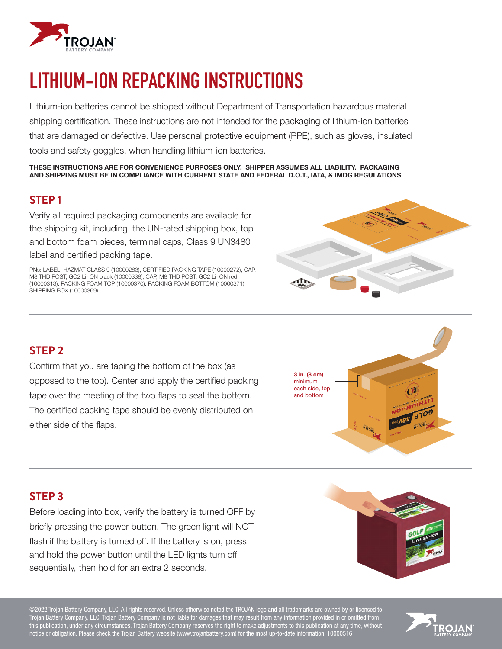

# **LITHIUM-ION REPACKING INSTRUCTIONS**

Lithium-ion batteries cannot be shipped without Department of Transportation hazardous material shipping certification. These instructions are not intended for the packaging of lithium-ion batteries that are damaged or defective. Use personal protective equipment (PPE), such as gloves, insulated tools and safety goggles, when handling lithium-ion batteries.

THESE INSTRUCTIONS ARE FOR CONVENIENCE PURPOSES ONLY. SHIPPER ASSUMES ALL LIABILITY. PACKAGING AND SHIPPING MUST BE IN COMPLIANCE WITH CURRENT STATE AND FEDERAL D.O.T., IATA, & IMDG REGULATIONS

#### **STEP 1**

Verify all required packaging components are available for the shipping kit, including: the UN-rated shipping box, top and bottom foam pieces, terminal caps, Class 9 UN3480 label and certified packing tape.

PNs: LABEL, HAZMAT CLASS 9 (10000283), CERTIFIED PACKING TAPE (10000272), CAP, M8 THD POST, GC2 Li-ION black (10000338), CAP, M8 THD POST, GC2 Li-ION red (10000313), PACKING FOAM TOP (10000370), PACKING FOAM BOTTOM (10000371), SHIPPING BOX (10000369)



#### **STEP 2**

Confirm that you are taping the bottom of the box (as opposed to the top). Center and apply the certified packing tape over the meeting of the two flaps to seal the bottom. The certified packing tape should be evenly distributed on either side of the flaps.



#### **STEP 3**

Before loading into box, verify the battery is turned OFF by briefly pressing the power button. The green light will NOT flash if the battery is turned off. If the battery is on, press and hold the power button until the LED lights turn off sequentially, then hold for an extra 2 seconds.

©2022 Trojan Battery Company, LLC. All rights reserved. Unless otherwise noted the TROJAN logo and all trademarks are owned by or licensed to Trojan Battery Company, LLC. Trojan Battery Company is not liable for damages that may result from any information provided in or omitted from this publication, under any circumstances. Trojan Battery Company reserves the right to make adjustments to this publication at any time, without notice or obligation. Please check the Trojan Battery website (www.trojanbattery.com) for the most up-to-date information. 10000516